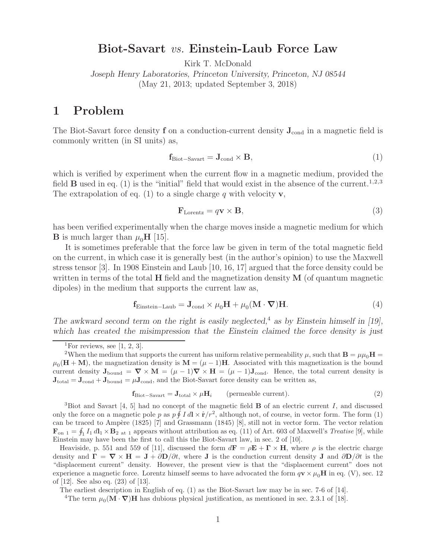## **Biot-Savart** *vs.* **Einstein-Laub Force Law**

Kirk T. McDonald

*Joseph Henry Laboratories, Princeton University, Princeton, NJ 08544* (May 21, 2013; updated September 3, 2018)

## **1 Problem**

The Biot-Savart force density **f** on a conduction-current density  $J_{cond}$  in a magnetic field is commonly written (in SI units) as,

$$
\mathbf{f}_{\text{Biot-Savart}} = \mathbf{J}_{\text{cond}} \times \mathbf{B},\tag{1}
$$

which is verified by experiment when the current flow in a magnetic medium, provided the field **B** used in eq. (1) is the "initial" field that would exist in the absence of the current.<sup>1,2,3</sup> The extrapolation of eq. (1) to a single charge q with velocity **v**,

$$
\mathbf{F}_{\text{Lorentz}} = q\mathbf{v} \times \mathbf{B},\tag{3}
$$

has been verified experimentally when the charge moves inside a magnetic medium for which **B** is much larger than  $\mu_0$ **H** [15].

It is sometimes preferable that the force law be given in term of the total magnetic field on the current, in which case it is generally best (in the author's opinion) to use the Maxwell stress tensor [3]. In 1908 Einstein and Laub [10, 16, 17] argued that the force density could be written in terms of the total **H** field and the magnetization density **M** (of quantum magnetic dipoles) in the medium that supports the current law as,

$$
\mathbf{f}_{\text{Einstein-Laub}} = \mathbf{J}_{\text{cond}} \times \mu_0 \mathbf{H} + \mu_0 (\mathbf{M} \cdot \boldsymbol{\nabla}) \mathbf{H}.
$$
 (4)

*The awkward second term on the right is easily neglected,*<sup>4</sup> *as by Einstein himself in [19], which has created the misimpression that the Einstein claimed the force density is just*

$$
\mathbf{f}_{\text{Biot-Savart}} = \mathbf{J}_{\text{total}} \times \mu \mathbf{H}_i \qquad \text{(permeable current).} \tag{2}
$$

<sup>3</sup>Biot and Savart [4, 5] had no concept of the magnetic field **B** of an electric current I, and discussed only the force on a magnetic pole p as  $p \hat{f} \cdot I d \times \hat{r}/r^2$ , although not, of course, in vector form. The form (1) can be traced to Ampère (1825) [7] and Grassmann (1845) [8], still not in vector form. The vector relation  $\mathbf{F}_{\text{on 1}} = \oint_1 I_1 \, d\mathbf{l}_1 \times \mathbf{B}_2$  at 1 appears without attribution as eq. (11) of Art. 603 of Maxwell's *Treatise* [9], while Einstein may have been the first to call this the Biot-Savart law, in sec. 2 of [10].

Heaviside, p. 551 and 559 of [11], discussed the form  $d\mathbf{F} = \rho \mathbf{E} + \mathbf{\Gamma} \times \mathbf{H}$ , where  $\rho$  is the electric charge density and  $\mathbf{\Gamma} = \nabla \times \mathbf{H} = \mathbf{J} + \partial \mathbf{D}/\partial t$ , where **J** is the conduction current density **J** and  $\partial \mathbf{D}/\partial t$  is the "displacement current" density. However, the present view is that the "displacement current" does not experience a magnetic force. Lorentz himself seems to have advocated the form  $q\mathbf{v} \times \mu_0\mathbf{H}$  in eq. (V), sec. 12 of [12]. See also eq. (23) of [13].

The earliest description in English of eq. (1) as the Biot-Savart law may be in sec. 7-6 of [14].

<sup>4</sup>The term  $\mu_0(\mathbf{M} \cdot \nabla)$ **H** has dubious physical justification, as mentioned in sec. 2.3.1 of [18].

<sup>&</sup>lt;sup>1</sup>For reviews, see [1, 2, 3].

<sup>&</sup>lt;sup>2</sup>When the medium that supports the current has uniform relative permeability  $\mu$ , such that  $\mathbf{B} = \mu \mu_0 \mathbf{H} =$  $\mu_0(\mathbf{H} + \mathbf{M})$ , the magnetization density is  $\mathbf{M} = (\mu - 1)\mathbf{H}$ . Associated with this magnetization is the bound current density  $J_{\text{bound}} = \nabla \times M = (\mu - 1)\nabla \times H = (\mu - 1)J_{\text{cond}}$ . Hence, the total current density is  $J_{total} = J_{cond} + J_{bound} = \mu J_{cond}$ , and the Biot-Savart force density can be written as,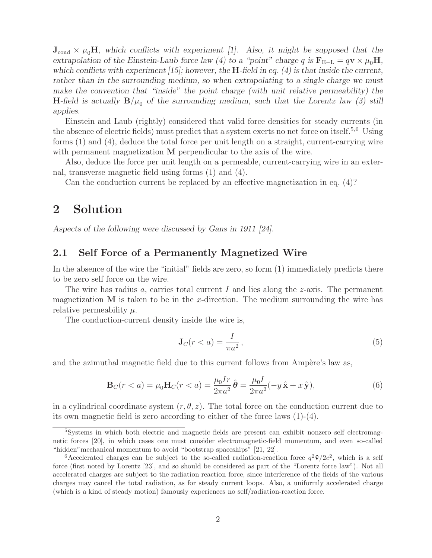$J_{\text{cond}} \times \mu_0 H$ , which conflicts with experiment [1]. Also, it might be supposed that the *extrapolation of the Einstein-Laub force law (4) to a "point" charge q is*  $\mathbf{F}_{E-L} = q\mathbf{v} \times \mu_0 \mathbf{H}$ , *which conflicts with experiment [15]; however, the* **H***-field in eq. (4) is that inside the current, rather than in the surrounding medium, so when extrapolating to a single charge we must make the convention that "inside" the point charge (with unit relative permeability) the* **H**-field is actually  $B/\mu_0$  of the surrounding medium, such that the Lorentz law (3) still *applies.*

Einstein and Laub (rightly) considered that valid force densities for steady currents (in the absence of electric fields) must predict that a system exerts no net force on itself.<sup>5,6</sup> Using forms (1) and (4), deduce the total force per unit length on a straight, current-carrying wire with permanent magnetization **M** perpendicular to the axis of the wire.

Also, deduce the force per unit length on a permeable, current-carrying wire in an external, transverse magnetic field using forms (1) and (4).

Can the conduction current be replaced by an effective magnetization in eq. (4)?

## **2 Solution**

*Aspects of the following were discussed by Gans in 1911 [24].*

#### **2.1 Self Force of a Permanently Magnetized Wire**

In the absence of the wire the "initial" fields are zero, so form (1) immediately predicts there to be zero self force on the wire.

The wire has radius a, carries total current I and lies along the  $z$ -axis. The permanent magnetization **M** is taken to be in the x-direction. The medium surrounding the wire has relative permeability  $\mu$ .

The conduction-current density inside the wire is,

$$
\mathbf{J}_C(r < a) = \frac{I}{\pi a^2},\tag{5}
$$

and the azimuthal magnetic field due to this current follows from Ampère's law as,

$$
\mathbf{B}_{C}(r < a) = \mu_{0}\mathbf{H}_{C}(r < a) = \frac{\mu_{0}Ir}{2\pi a^{2}}\hat{\boldsymbol{\theta}} = \frac{\mu_{0}I}{2\pi a^{2}}(-y\hat{\mathbf{x}} + x\hat{\mathbf{y}}),
$$
(6)

in a cylindrical coordinate system  $(r, \theta, z)$ . The total force on the conduction current due to its own magnetic field is zero according to either of the force laws (1)-(4).

<sup>5</sup>Systems in which both electric and magnetic fields are present can exhibit nonzero self electromagnetic forces [20], in which cases one must consider electromagnetic-field momentum, and even so-called "hidden"mechanical momentum to avoid "bootstrap spaceships" [21, 22].

<sup>&</sup>lt;sup>6</sup>Accelerated charges can be subject to the so-called radiation-reaction force  $q^2\ddot{v}/2c^2$ , which is a self force (first noted by Lorentz [23], and so should be considered as part of the "Lorentz force law"). Not all accelerated charges are subject to the radiation reaction force, since interference of the fields of the various charges may cancel the total radiation, as for steady current loops. Also, a uniformly accelerated charge (which is a kind of steady motion) famously experiences no self/radiation-reaction force.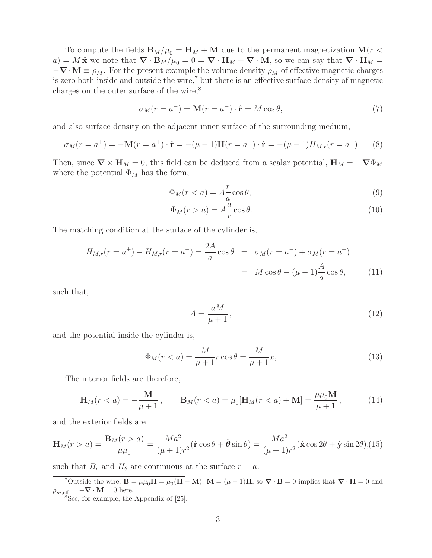To compute the fields  $\mathbf{B}_M/\mu_0 = \mathbf{H}_M + \mathbf{M}$  due to the permanent magnetization  $\mathbf{M}(r <$  $a) = M \hat{\mathbf{x}}$  we note that  $\nabla \cdot \mathbf{B}_M/\mu_0 = 0 = \nabla \cdot \mathbf{H}_M + \nabla \cdot \mathbf{M}$ , so we can say that  $\nabla \cdot \mathbf{H}_M =$  $-\nabla \cdot \mathbf{M} \equiv \rho_M$ . For the present example the volume density  $\rho_M$  of effective magnetic charges is zero both inside and outside the wire,<sup>7</sup> but there is an effective surface density of magnetic charges on the outer surface of the wire,<sup>8</sup>

$$
\sigma_M(r = a^-) = \mathbf{M}(r = a^-) \cdot \hat{\mathbf{r}} = M \cos \theta,\tag{7}
$$

and also surface density on the adjacent inner surface of the surrounding medium,

$$
\sigma_M(r = a^+) = -\mathbf{M}(r = a^+) \cdot \hat{\mathbf{r}} = -(\mu - 1)\mathbf{H}(r = a^+) \cdot \hat{\mathbf{r}} = -(\mu - 1)H_{M,r}(r = a^+) \tag{8}
$$

Then, since  $\nabla \times \mathbf{H}_M = 0$ , this field can be deduced from a scalar potential,  $\mathbf{H}_M = -\nabla \Phi_M$ where the potential  $\Phi_M$  has the form,

$$
\Phi_M(r < a) = A \frac{r}{a} \cos \theta,\tag{9}
$$

$$
\Phi_M(r > a) = A \frac{a}{r} \cos \theta. \tag{10}
$$

The matching condition at the surface of the cylinder is,

$$
H_{M,r}(r = a^{+}) - H_{M,r}(r = a^{-}) = \frac{2A}{a} \cos \theta = \sigma_M(r = a^{-}) + \sigma_M(r = a^{+})
$$

$$
= M \cos \theta - (\mu - 1)\frac{A}{a} \cos \theta, \qquad (11)
$$

such that,

$$
A = \frac{aM}{\mu + 1},\tag{12}
$$

and the potential inside the cylinder is,

$$
\Phi_M(r < a) = \frac{M}{\mu + 1} r \cos \theta = \frac{M}{\mu + 1} x,\tag{13}
$$

The interior fields are therefore,

$$
\mathbf{H}_{M}(r < a) = -\frac{\mathbf{M}}{\mu + 1}, \qquad \mathbf{B}_{M}(r < a) = \mu_{0}[\mathbf{H}_{M}(r < a) + \mathbf{M}] = \frac{\mu\mu_{0}\mathbf{M}}{\mu + 1}, \tag{14}
$$

and the exterior fields are,

$$
\mathbf{H}_M(r > a) = \frac{\mathbf{B}_M(r > a)}{\mu \mu_0} = \frac{Ma^2}{(\mu + 1)r^2} (\hat{\mathbf{r}} \cos \theta + \hat{\boldsymbol{\theta}} \sin \theta) = \frac{Ma^2}{(\mu + 1)r^2} (\hat{\mathbf{x}} \cos 2\theta + \hat{\mathbf{y}} \sin 2\theta), (15)
$$

such that  $B_r$  and  $H_\theta$  are continuous at the surface  $r = a$ .

<sup>7</sup>Outside the wire,  $\mathbf{B} = \mu \mu_0 \mathbf{H} = \mu_0 (\mathbf{H} + \mathbf{M})$ ,  $\mathbf{M} = (\mu - 1) \mathbf{H}$ , so  $\nabla \cdot \mathbf{B} = 0$  implies that  $\nabla \cdot \mathbf{H} = 0$  and  $\rho_{m,\text{eff}} = -\nabla \cdot \mathbf{M} = 0$  here.

<sup>8</sup>See, for example, the Appendix of [25].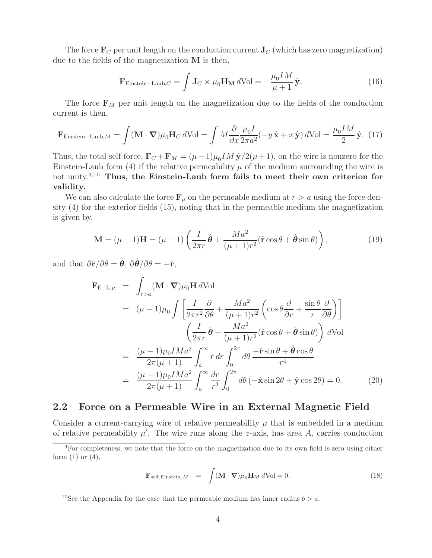The force  $\mathbf{F}_C$  per unit length on the conduction current  $\mathbf{J}_C$  (which has zero magnetization) due to the fields of the magnetization **M** is then,

$$
\mathbf{F}_{\text{Einstein-Laub},C} = \int \mathbf{J}_C \times \mu_0 \mathbf{H_M} \, d\text{Vol} = -\frac{\mu_0 I M}{\mu + 1} \hat{\mathbf{y}}.
$$
 (16)

The force  $\mathbf{F}_M$  per unit length on the magnetization due to the fields of the conduction current is then,

$$
\mathbf{F}_{\text{Einstein-Laub},M} = \int (\mathbf{M} \cdot \mathbf{\nabla}) \mu_0 \mathbf{H}_C d\text{Vol} = \int M \frac{\partial}{\partial x} \frac{\mu_0 I}{2\pi a^2} (-y \hat{\mathbf{x}} + x \hat{\mathbf{y}}) d\text{Vol} = \frac{\mu_0 I M}{2} \hat{\mathbf{y}}. (17)
$$

Thus, the total self-force,  $\mathbf{F}_C + \mathbf{F}_M = (\mu - 1)\mu_0 IM \hat{\mathbf{y}}/2(\mu + 1)$ , on the wire is nonzero for the Einstein-Laub form (4) if the relative permeability  $\mu$  of the medium surrounding the wire is not unity.9,10 **Thus, the Einstein-Laub form fails to meet their own criterion for validity.**

We can also calculate the force  $\mathbf{F}_{\mu}$  on the permeable medium at  $r > a$  using the force density (4) for the exterior fields (15), noting that in the permeable medium the magnetization is given by,

$$
\mathbf{M} = (\mu - 1)\mathbf{H} = (\mu - 1)\left(\frac{I}{2\pi r}\hat{\boldsymbol{\theta}} + \frac{Ma^2}{(\mu + 1)r^2}(\hat{\mathbf{r}}\cos\theta + \hat{\boldsymbol{\theta}}\sin\theta)\right),\tag{19}
$$

and that  $\partial \hat{\mathbf{r}}/\partial \theta = \hat{\boldsymbol{\theta}}, \ \partial \hat{\boldsymbol{\theta}}/\partial \theta = -\hat{\mathbf{r}},$ 

$$
\mathbf{F}_{\mathrm{E-L},\mu} = \int_{r>a} (\mathbf{M} \cdot \nabla) \mu_0 \mathbf{H} d\mathrm{Vol}
$$
  
\n
$$
= (\mu - 1)\mu_0 \int \left[ \frac{I}{2\pi r^2} \frac{\partial}{\partial \theta} + \frac{Ma^2}{(\mu + 1)r^2} \left( \cos \theta \frac{\partial}{\partial r} + \frac{\sin \theta}{r} \frac{\partial}{\partial \theta} \right) \right]
$$
  
\n
$$
\left( \frac{I}{2\pi r} \hat{\theta} + \frac{Ma^2}{(\mu + 1)r^2} (\hat{r} \cos \theta + \hat{\theta} \sin \theta) \right) d\mathrm{Vol}
$$
  
\n
$$
= \frac{(\mu - 1)\mu_0 I Ma^2}{2\pi (\mu + 1)} \int_a^\infty r dr \int_0^{2\pi} d\theta \frac{-\hat{r} \sin \theta + \hat{\theta} \cos \theta}{r^4}
$$
  
\n
$$
= \frac{(\mu - 1)\mu_0 I Ma^2}{2\pi (\mu + 1)} \int_a^\infty \frac{dr}{r^3} \int_0^{2\pi} d\theta \left( -\hat{\mathbf{x}} \sin 2\theta + \hat{\mathbf{y}} \cos 2\theta \right) = 0. \tag{20}
$$

#### **2.2 Force on a Permeable Wire in an External Magnetic Field**

Consider a current-carrying wire of relative permeability  $\mu$  that is embedded in a medium of relative permeability  $\mu'$ . The wire runs along the *z*-axis, has area A, carries conduction

$$
\mathbf{F}_{\text{self, Einstein},M} = \int (\mathbf{M} \cdot \mathbf{\nabla}) \mu_0 \mathbf{H}_M d\text{Vol} = 0.
$$
 (18)

<sup>10</sup>See the Appendix for the case that the permeable medium has inner radius  $b > a$ .

<sup>&</sup>lt;sup>9</sup>For completeness, we note that the force on the magnetization due to its own field is zero using either form  $(1)$  or  $(4)$ ,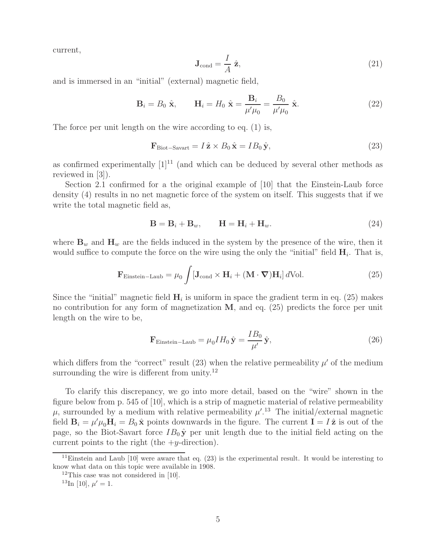current,

$$
\mathbf{J}_{\text{cond}} = \frac{I}{A} \hat{\mathbf{z}},\tag{21}
$$

and is immersed in an "initial" (external) magnetic field,

$$
\mathbf{B}_{i} = B_{0} \hat{\mathbf{x}}, \qquad \mathbf{H}_{i} = H_{0} \hat{\mathbf{x}} = \frac{\mathbf{B}_{i}}{\mu' \mu_{0}} = \frac{B_{0}}{\mu' \mu_{0}} \hat{\mathbf{x}}.
$$
 (22)

The force per unit length on the wire according to eq. (1) is,

$$
\mathbf{F}_{\text{Biot-Savart}} = I\,\hat{\mathbf{z}} \times B_0\,\hat{\mathbf{x}} = IB_0\,\hat{\mathbf{y}},\tag{23}
$$

as confirmed experimentally  $[1]^{11}$  (and which can be deduced by several other methods as reviewed in [3]).

Section 2.1 confirmed for a the original example of [10] that the Einstein-Laub force density (4) results in no net magnetic force of the system on itself. This suggests that if we write the total magnetic field as,

$$
\mathbf{B} = \mathbf{B}_i + \mathbf{B}_w, \qquad \mathbf{H} = \mathbf{H}_i + \mathbf{H}_w. \tag{24}
$$

where  $\mathbf{B}_w$  and  $\mathbf{H}_w$  are the fields induced in the system by the presence of the wire, then it would suffice to compute the force on the wire using the only the "initial" field  $H_i$ . That is,

$$
\mathbf{F}_{\text{Einstein-Laub}} = \mu_0 \int [\mathbf{J}_{\text{cond}} \times \mathbf{H}_i + (\mathbf{M} \cdot \nabla) \mathbf{H}_i] d\text{Vol}. \tag{25}
$$

Since the "initial" magnetic field  $H_i$  is uniform in space the gradient term in eq. (25) makes no contribution for any form of magnetization **M**, and eq. (25) predicts the force per unit length on the wire to be,

$$
\mathbf{F}_{\text{Einstein-Laub}} = \mu_0 I H_0 \hat{\mathbf{y}} = \frac{I B_0}{\mu'} \hat{\mathbf{y}},\tag{26}
$$

which differs from the "correct" result (23) when the relative permeability  $\mu'$  of the medium surrounding the wire is different from unity.<sup>12</sup>

To clarify this discrepancy, we go into more detail, based on the "wire" shown in the figure below from p. 545 of [10], which is a strip of magnetic material of relative permeability  $\mu$ , surrounded by a medium with relative permeability  $\mu'^{13}$  The initial/external magnetic field  $\mathbf{B}_i = \mu' \mu_0 \mathbf{H}_i = B_0 \hat{\mathbf{x}}$  points downwards in the figure. The current  $\mathbf{I} = I \hat{\mathbf{z}}$  is out of the page, so the Biot-Savart force  $IB_0 \hat{y}$  per unit length due to the initial field acting on the current points to the right (the  $+y$ -direction).

<sup>&</sup>lt;sup>11</sup>Einstein and Laub [10] were aware that eq.  $(23)$  is the experimental result. It would be interesting to know what data on this topic were available in 1908.

<sup>&</sup>lt;sup>12</sup>This case was not considered in [10].

<sup>&</sup>lt;sup>13</sup>In [10],  $\mu' = 1$ .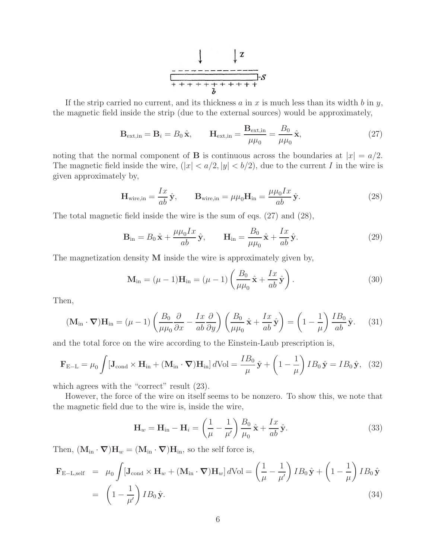$$
\begin{array}{c|c}\n & \downarrow x \\
\hline\n & \downarrow x \\
\hline\n & \uparrow x \\
\hline\n & \downarrow x \\
\hline\n & \downarrow x \\
\hline\n & \downarrow x \\
\hline\n & \downarrow x \\
\hline\n & \downarrow x \\
\hline\n & \downarrow x \\
\hline\n & \downarrow x \\
\hline\n & \downarrow x \\
\hline\n & \downarrow x \\
\hline\n & \downarrow x \\
\hline\n & \downarrow x \\
\hline\n & \downarrow x \\
\hline\n & \downarrow x \\
\hline\n & \downarrow x \\
\hline\n & \downarrow x \\
\hline\n & \downarrow x \\
\hline\n & \downarrow x \\
\hline\n & \downarrow x \\
\hline\n & \downarrow x \\
\hline\n & \downarrow x \\
\hline\n & \downarrow x \\
\hline\n & \downarrow x \\
\hline\n & \downarrow x \\
\hline\n & \downarrow x \\
\hline\n & \downarrow x \\
\hline\n & \downarrow x \\
\hline\n & \downarrow x \\
\hline\n & \downarrow x \\
\hline\n & \downarrow x \\
\hline\n & \downarrow x \\
\hline\n & \downarrow x \\
\hline\n & \downarrow x \\
\hline\n & \downarrow x \\
\hline\n & \downarrow x \\
\hline\n & \downarrow x \\
\hline\n & \downarrow x \\
\hline\n & \downarrow x \\
\hline\n & \downarrow x \\
\hline\n & \downarrow x \\
\hline\n & \downarrow x \\
\hline\n & \downarrow x \\
\hline\n & \downarrow x \\
\hline\n & \downarrow x \\
\hline\n & \downarrow x \\
\hline\n & \downarrow x \\
\hline\n & \downarrow x \\
\hline\n & \downarrow x \\
\hline\n & \downarrow x \\
\hline\n & \downarrow x \\
\hline\n & \downarrow x \\
\hline\n & \downarrow x \\
\hline\n & \downarrow x \\
\hline\n & \downarrow x \\
\hline\n & \downarrow x \\
\hline\n & \downarrow x \\
\hline\n & \downarrow x \\
\hline\n & \downarrow x \\
\hline\n & \downarrow x \\
\hline\n & \downarrow x \\
\hline\n & \downarrow x \\
\hline\n & \downarrow x \\
\hline\n & \downarrow x \\
\hline\n & \downarrow x \\
\hline\n & \downarrow x \\
\hline\n & \downarrow x \\
\hline\n & \downarrow x \\
\hline\n & \downarrow x \\
\hline\n & \downarrow x \\
\hline\n & \downarrow x \\
\hline\n & \downarrow x \\
\hline\n & \downarrow x \\
\hline\n & \downarrow x \\
\hline
$$

If the strip carried no current, and its thickness a in x is much less than its width b in y, the magnetic field inside the strip (due to the external sources) would be approximately,

$$
\mathbf{B}_{\text{ext,in}} = \mathbf{B}_i = B_0 \hat{\mathbf{x}}, \qquad \mathbf{H}_{\text{ext,in}} = \frac{\mathbf{B}_{\text{ext,in}}}{\mu \mu_0} = \frac{B_0}{\mu \mu_0} \hat{\mathbf{x}}, \tag{27}
$$

noting that the normal component of **B** is continuous across the boundaries at  $|x| = a/2$ . The magnetic field inside the wire,  $(|x| < a/2, |y| < b/2)$ , due to the current I in the wire is given approximately by,

$$
\mathbf{H}_{\text{wire,in}} = \frac{Ix}{ab}\hat{\mathbf{y}}, \qquad \mathbf{B}_{\text{wire,in}} = \mu\mu_0 \mathbf{H}_{\text{in}} = \frac{\mu\mu_0 Ix}{ab}\hat{\mathbf{y}}.
$$
 (28)

The total magnetic field inside the wire is the sum of eqs. (27) and (28),

$$
\mathbf{B}_{\rm in} = B_0 \hat{\mathbf{x}} + \frac{\mu \mu_0 I x}{ab} \hat{\mathbf{y}}, \qquad \mathbf{H}_{\rm in} = \frac{B_0}{\mu \mu_0} \hat{\mathbf{x}} + \frac{I x}{ab} \hat{\mathbf{y}}.
$$
 (29)

The magnetization density **M** inside the wire is approximately given by,

$$
\mathbf{M}_{\rm in} = (\mu - 1)\mathbf{H}_{\rm in} = (\mu - 1)\left(\frac{B_0}{\mu\mu_0}\hat{\mathbf{x}} + \frac{Ix}{ab}\hat{\mathbf{y}}\right). \tag{30}
$$

Then,

$$
(\mathbf{M}_{\rm in} \cdot \mathbf{\nabla}) \mathbf{H}_{\rm in} = (\mu - 1) \left( \frac{B_0}{\mu \mu_0} \frac{\partial}{\partial x} - \frac{I x}{a b} \frac{\partial}{\partial y} \right) \left( \frac{B_0}{\mu \mu_0} \hat{\mathbf{x}} + \frac{I x}{a b} \hat{\mathbf{y}} \right) = \left( 1 - \frac{1}{\mu} \right) \frac{I B_0}{a b} \hat{\mathbf{y}}. \tag{31}
$$

and the total force on the wire according to the Einstein-Laub prescription is,

$$
\mathbf{F}_{\rm E-L} = \mu_0 \int [\mathbf{J}_{\rm cond} \times \mathbf{H}_{\rm in} + (\mathbf{M}_{\rm in} \cdot \nabla) \mathbf{H}_{\rm in}] d\text{Vol} = \frac{IB_0}{\mu} \hat{\mathbf{y}} + \left(1 - \frac{1}{\mu}\right) IB_0 \hat{\mathbf{y}} = IB_0 \hat{\mathbf{y}}, \tag{32}
$$

which agrees with the "correct" result  $(23)$ .

However, the force of the wire on itself seems to be nonzero. To show this, we note that the magnetic field due to the wire is, inside the wire,

$$
\mathbf{H}_w = \mathbf{H}_{\text{in}} - \mathbf{H}_i = \left(\frac{1}{\mu} - \frac{1}{\mu'}\right) \frac{B_0}{\mu_0} \hat{\mathbf{x}} + \frac{Ix}{ab} \hat{\mathbf{y}}.
$$
 (33)

Then,  $(M_{\text{in}} \cdot \nabla)H_w = (M_{\text{in}} \cdot \nabla)H_{\text{in}}$ , so the self force is,

$$
\mathbf{F}_{\text{E-L,self}} = \mu_0 \int [\mathbf{J}_{\text{cond}} \times \mathbf{H}_w + (\mathbf{M}_{\text{in}} \cdot \nabla) \mathbf{H}_w] d\text{Vol} = \left(\frac{1}{\mu} - \frac{1}{\mu'}\right) I B_0 \hat{\mathbf{y}} + \left(1 - \frac{1}{\mu}\right) I B_0 \hat{\mathbf{y}}
$$
  
=  $\left(1 - \frac{1}{\mu'}\right) I B_0 \hat{\mathbf{y}}.$  (34)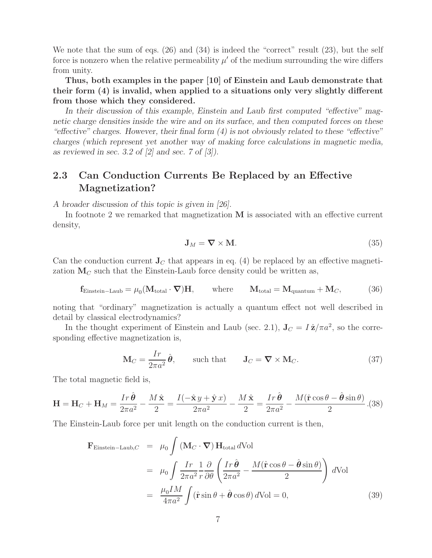We note that the sum of eqs.  $(26)$  and  $(34)$  is indeed the "correct" result  $(23)$ , but the self force is nonzero when the relative permeability  $\mu'$  of the medium surrounding the wire differs from unity.

**Thus, both examples in the paper [10] of Einstein and Laub demonstrate that their form (4) is invalid, when applied to a situations only very slightly different from those which they considered.**

*In their discussion of this example, Einstein and Laub first computed "effective" magnetic charge densities inside the wire and on its surface, and then computed forces on these "effective" charges. However, their final form (4) is not obviously related to these "effective" charges (which represent yet another way of making force calculations in magnetic media, as reviewed in sec. 3.2 of [2] and sec. 7 of [3]).*

### **2.3 Can Conduction Currents Be Replaced by an Effective Magnetization?**

*A broader discussion of this topic is given in [26].*

In footnote 2 we remarked that magnetization **M** is associated with an effective current density,

$$
\mathbf{J}_M = \nabla \times \mathbf{M}.\tag{35}
$$

Can the conduction current  $J_C$  that appears in eq. (4) be replaced by an effective magnetization  $M_C$  such that the Einstein-Laub force density could be written as,

$$
\mathbf{f}_{\text{Einstein-Laub}} = \mu_0 (\mathbf{M}_{\text{total}} \cdot \mathbf{\nabla}) \mathbf{H}, \quad \text{where} \quad \mathbf{M}_{\text{total}} = \mathbf{M}_{\text{quantum}} + \mathbf{M}_C, \tag{36}
$$

noting that "ordinary" magnetization is actually a quantum effect not well described in detail by classical electrodynamics?

In the thought experiment of Einstein and Laub (sec. 2.1),  $J_C = I \hat{\mathbf{z}} / \pi a^2$ , so the corresponding effective magnetization is,

$$
\mathbf{M}_C = \frac{Ir}{2\pi a^2} \hat{\boldsymbol{\theta}}, \qquad \text{such that} \qquad \mathbf{J}_C = \nabla \times \mathbf{M}_C. \tag{37}
$$

The total magnetic field is,

$$
\mathbf{H} = \mathbf{H}_C + \mathbf{H}_M = \frac{Ir\,\hat{\boldsymbol{\theta}}}{2\pi a^2} - \frac{M\,\hat{\mathbf{x}}}{2} = \frac{I(-\hat{\mathbf{x}}\,y + \hat{\mathbf{y}}\,x)}{2\pi a^2} - \frac{M\,\hat{\mathbf{x}}}{2} = \frac{Ir\,\hat{\boldsymbol{\theta}}}{2\pi a^2} - \frac{M(\hat{\mathbf{r}}\cos\theta - \hat{\boldsymbol{\theta}}\sin\theta)}{2}.\text{(38)}
$$

The Einstein-Laub force per unit length on the conduction current is then,

$$
\mathbf{F}_{\text{Einstein-Laub},C} = \mu_0 \int (\mathbf{M}_C \cdot \nabla) \mathbf{H}_{\text{total}} d\text{Vol}
$$
  
\n
$$
= \mu_0 \int \frac{Ir}{2\pi a^2} \frac{1}{r} \frac{\partial}{\partial \theta} \left( \frac{Ir\,\hat{\theta}}{2\pi a^2} - \frac{M(\hat{\mathbf{r}}\cos\theta - \hat{\theta}\sin\theta)}{2} \right) d\text{Vol}
$$
  
\n
$$
= \frac{\mu_0 IM}{4\pi a^2} \int (\hat{\mathbf{r}}\sin\theta + \hat{\theta}\cos\theta) d\text{Vol} = 0,
$$
 (39)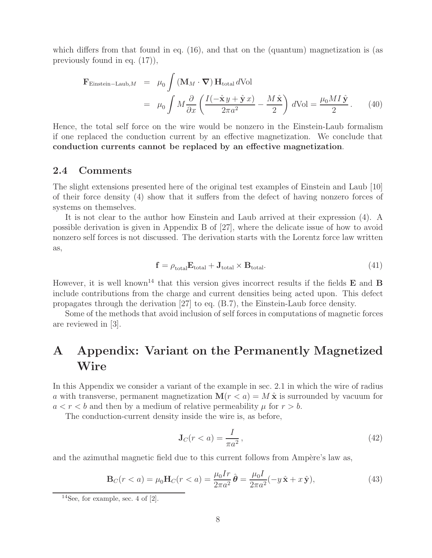which differs from that found in eq.  $(16)$ , and that on the (quantum) magnetization is (as previously found in eq. (17)),

$$
\mathbf{F}_{\text{Einstein-Laub},M} = \mu_0 \int (\mathbf{M}_M \cdot \nabla) \mathbf{H}_{\text{total}} d\text{Vol} \n= \mu_0 \int M \frac{\partial}{\partial x} \left( \frac{I(-\hat{\mathbf{x}} y + \hat{\mathbf{y}} x)}{2\pi a^2} - \frac{M \hat{\mathbf{x}}}{2} \right) d\text{Vol} = \frac{\mu_0 M I \hat{\mathbf{y}}}{2}.
$$
\n(40)

Hence, the total self force on the wire would be nonzero in the Einstein-Laub formalism if one replaced the conduction current by an effective magnetization. We conclude that **conduction currents cannot be replaced by an effective magnetization**.

#### **2.4 Comments**

The slight extensions presented here of the original test examples of Einstein and Laub [10] of their force density (4) show that it suffers from the defect of having nonzero forces of systems on themselves.

It is not clear to the author how Einstein and Laub arrived at their expression (4). A possible derivation is given in Appendix B of [27], where the delicate issue of how to avoid nonzero self forces is not discussed. The derivation starts with the Lorentz force law written as,

$$
\mathbf{f} = \rho_{\text{total}} \mathbf{E}_{\text{total}} + \mathbf{J}_{\text{total}} \times \mathbf{B}_{\text{total}}.
$$
\n(41)

However, it is well known<sup>14</sup> that this version gives incorrect results if the fields  $\bf{E}$  and  $\bf{B}$ include contributions from the charge and current densities being acted upon. This defect propagates through the derivation [27] to eq. (B.7), the Einstein-Laub force density.

Some of the methods that avoid inclusion of self forces in computations of magnetic forces are reviewed in [3].

# **A Appendix: Variant on the Permanently Magnetized Wire**

In this Appendix we consider a variant of the example in sec. 2.1 in which the wire of radius a with transverse, permanent magnetization  $\mathbf{M}(r < a) = M \hat{\mathbf{x}}$  is surrounded by vacuum for  $a < r < b$  and then by a medium of relative permeability  $\mu$  for  $r > b$ .

The conduction-current density inside the wire is, as before,

$$
\mathbf{J}_C(r
$$

and the azimuthal magnetic field due to this current follows from Ampère's law as,

$$
\mathbf{B}_{C}(r < a) = \mu_{0}\mathbf{H}_{C}(r < a) = \frac{\mu_{0}Ir}{2\pi a^{2}}\hat{\boldsymbol{\theta}} = \frac{\mu_{0}I}{2\pi a^{2}}(-y\hat{\mathbf{x}} + x\hat{\mathbf{y}}),
$$
(43)

 $14$ See, for example, sec. 4 of  $[2]$ .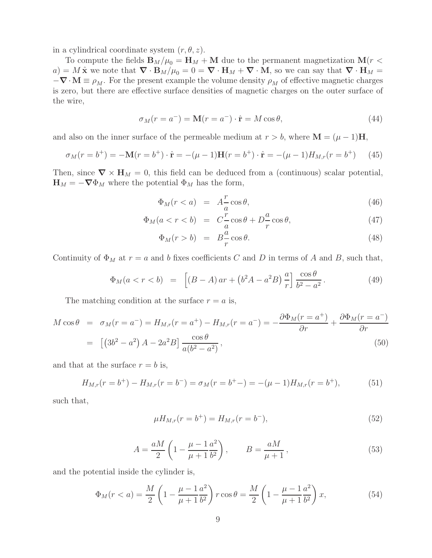in a cylindrical coordinate system  $(r, \theta, z)$ .

To compute the fields  $\mathbf{B}_M/\mu_0 = \mathbf{H}_M + \mathbf{M}$  due to the permanent magnetization  $\mathbf{M}(r <$  $a) = M \hat{\mathbf{x}}$  we note that  $\nabla \cdot \mathbf{B}_M/\mu_0 = 0 = \nabla \cdot \mathbf{H}_M + \nabla \cdot \mathbf{M}$ , so we can say that  $\nabla \cdot \mathbf{H}_M =$  $-\nabla \cdot \mathbf{M} \equiv \rho_M$ . For the present example the volume density  $\rho_M$  of effective magnetic charges is zero, but there are effective surface densities of magnetic charges on the outer surface of the wire,

$$
\sigma_M(r = a^-) = \mathbf{M}(r = a^-) \cdot \hat{\mathbf{r}} = M \cos \theta,\tag{44}
$$

and also on the inner surface of the permeable medium at  $r > b$ , where  $\mathbf{M} = (\mu - 1)\mathbf{H}$ ,

$$
\sigma_M(r = b^+) = -\mathbf{M}(r = b^+) \cdot \hat{\mathbf{r}} = -(\mu - 1)\mathbf{H}(r = b^+) \cdot \hat{\mathbf{r}} = -(\mu - 1)H_{M,r}(r = b^+) \tag{45}
$$

Then, since  $\nabla \times \mathbf{H}_M = 0$ , this field can be deduced from a (continuous) scalar potential,  $\mathbf{H}_M = -\nabla \Phi_M$  where the potential  $\Phi_M$  has the form,

$$
\Phi_M(r < a) = A\frac{r}{a}\cos\theta,\tag{46}
$$

$$
\Phi_M(a < r < b) = C\frac{r}{a}\cos\theta + D\frac{a}{r}\cos\theta,\tag{47}
$$

$$
\Phi_M(r > b) = B\frac{a}{r}\cos\theta. \tag{48}
$$

Continuity of  $\Phi_M$  at  $r = a$  and b fixes coefficients C and D in terms of A and B, such that,

$$
\Phi_M(a < r < b) = \left[ (B - A) ar + (b^2 A - a^2 B) \frac{a}{r} \right] \frac{\cos \theta}{b^2 - a^2}.
$$
\n(49)

The matching condition at the surface  $r = a$  is,

$$
M \cos \theta = \sigma_M(r = a^-) = H_{M,r}(r = a^+) - H_{M,r}(r = a^-) = -\frac{\partial \Phi_M(r = a^+)}{\partial r} + \frac{\partial \Phi_M(r = a^-)}{\partial r}
$$
  
= 
$$
[(3b^2 - a^2) A - 2a^2 B] \frac{\cos \theta}{a(b^2 - a^2)},
$$
 (50)

and that at the surface  $r = b$  is,

$$
H_{M,r}(r = b^{+}) - H_{M,r}(r = b^{-}) = \sigma_M(r = b^{+} -) = -(\mu - 1)H_{M,r}(r = b^{+}),
$$
\n(51)

such that,

$$
\mu H_{M,r}(r = b^+) = H_{M,r}(r = b^-),\tag{52}
$$

$$
A = \frac{aM}{2} \left( 1 - \frac{\mu - 1}{\mu + 1} \frac{a^2}{b^2} \right), \qquad B = \frac{aM}{\mu + 1},
$$
\n(53)

and the potential inside the cylinder is,

$$
\Phi_M(r < a) = \frac{M}{2} \left( 1 - \frac{\mu - 1}{\mu + 1} \frac{a^2}{b^2} \right) r \cos \theta = \frac{M}{2} \left( 1 - \frac{\mu - 1}{\mu + 1} \frac{a^2}{b^2} \right) x,\tag{54}
$$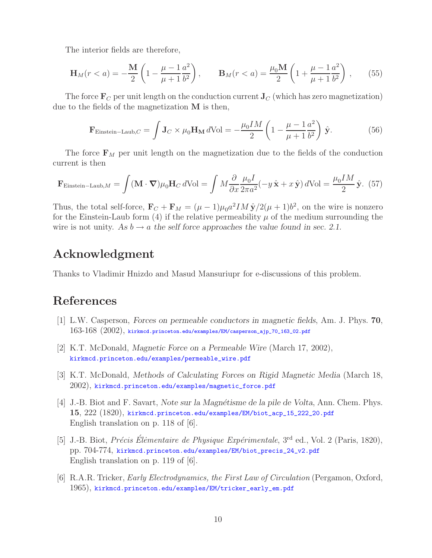The interior fields are therefore,

$$
\mathbf{H}_M(r < a) = -\frac{\mathbf{M}}{2} \left( 1 - \frac{\mu - 1}{\mu + 1} \frac{a^2}{b^2} \right), \qquad \mathbf{B}_M(r < a) = \frac{\mu_0 \mathbf{M}}{2} \left( 1 + \frac{\mu - 1}{\mu + 1} \frac{a^2}{b^2} \right), \qquad (55)
$$

The force  $\mathbf{F}_C$  per unit length on the conduction current  $\mathbf{J}_C$  (which has zero magnetization) due to the fields of the magnetization **M** is then,

$$
\mathbf{F}_{\text{Einstein-Laub},C} = \int \mathbf{J}_C \times \mu_0 \mathbf{H_M} \, d\text{Vol} = -\frac{\mu_0 IM}{2} \left( 1 - \frac{\mu - 1}{\mu + 1} \frac{a^2}{b^2} \right) \hat{\mathbf{y}}.
$$
 (56)

The force  $\mathbf{F}_M$  per unit length on the magnetization due to the fields of the conduction current is then

$$
\mathbf{F}_{\text{Einstein-Laub},M} = \int (\mathbf{M} \cdot \mathbf{\nabla}) \mu_0 \mathbf{H}_C \, d\text{Vol} = \int M \frac{\partial}{\partial x} \frac{\mu_0 I}{2\pi a^2} (-y \hat{\mathbf{x}} + x \hat{\mathbf{y}}) \, d\text{Vol} = \frac{\mu_0 I M}{2} \hat{\mathbf{y}}. (57)
$$

Thus, the total self-force,  $\mathbf{F}_C + \mathbf{F}_M = (\mu - 1)\mu_0 a^2 I M \hat{\mathbf{y}}/2(\mu + 1)b^2$ , on the wire is nonzero for the Einstein-Laub form (4) if the relative permeability  $\mu$  of the medium surrounding the wire is not unity. As  $b \to a$  the self force approaches the value found in sec. 2.1.

## **Acknowledgment**

Thanks to Vladimir Hnizdo and Masud Mansuriupr for e-discussions of this problem.

# **References**

- [1] L.W. Casperson, *Forces on permeable conductors in magnetic fields*, Am. J. Phys. **70**,  $163\text{-}168\ (2002)$ , kirkmcd.princeton.edu/examples/EM/casperson\_ajp\_70\_163\_02.pdf
- [2] K.T. McDonald, *Magnetic Force on a Permeable Wire* (March 17, 2002), kirkmcd.princeton.edu/examples/permeable\_wire.pdf
- [3] K.T. McDonald, *Methods of Calculating Forces on Rigid Magnetic Media* (March 18, 2002), kirkmcd.princeton.edu/examples/magnetic\_force.pdf
- [4] J.-B. Biot and F. Savart, *Note sur la Magn´etisme de la pile de Volta*, Ann. Chem. Phys. **15**, 222 (1820), kirkmcd.princeton.edu/examples/EM/biot\_acp\_15\_222\_20.pdf English translation on p. 118 of [6].
- [5] J.-B. Biot, *Précis Élèmentaire de Physique Expérimentale*, 3<sup>rd</sup> ed., Vol. 2 (Paris, 1820), pp. 704-774, kirkmcd.princeton.edu/examples/EM/biot\_precis\_24\_v2.pdf English translation on p. 119 of [6].
- [6] R.A.R. Tricker, *Early Electrodynamics, the First Law of Circulation* (Pergamon, Oxford, 1965), kirkmcd.princeton.edu/examples/EM/tricker\_early\_em.pdf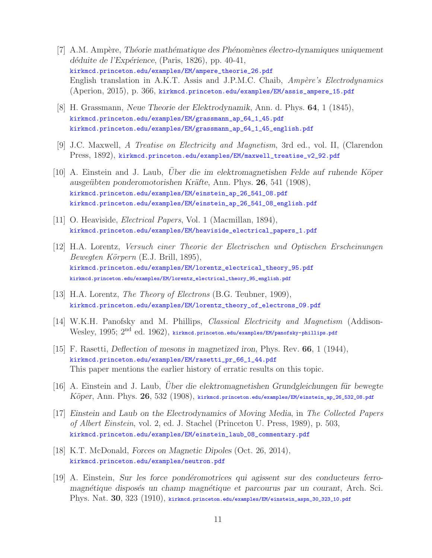- [7] A.M. Amp`ere, *Th´eorie math´ematique des Ph´enom`enes ´electro-dynamiques uniquement d´eduite de l'Exp´erience*, (Paris, 1826), pp. 40-41, kirkmcd.princeton.edu/examples/EM/ampere\_theorie\_26.pdf English translation in A.K.T. Assis and J.P.M.C. Chaib, *Ampère's Electrodynamics* (Aperion, 2015), p. 366, kirkmcd.princeton.edu/examples/EM/assis\_ampere\_15.pdf
- [8] H. Grassmann, *Neue Theorie der Elektrodynamik*, Ann. d. Phys. **64**, 1 (1845), kirkmcd.princeton.edu/examples/EM/grassmann\_ap\_64\_1\_45.pdf kirkmcd.princeton.edu/examples/EM/grassmann\_ap\_64\_1\_45\_english.pdf
- [9] J.C. Maxwell, *A Treatise on Electricity and Magnetism*, 3rd ed., vol. II, (Clarendon Press, 1892), kirkmcd.princeton.edu/examples/EM/maxwell\_treatise\_v2\_92.pdf
- [10] A. Einstein and J. Laub, *Uber die im elektromagnetishen Felde auf ruhende Köper ausge¨ubten ponderomotorishen Kr¨afte*, Ann. Phys. **26**, 541 (1908), kirkmcd.princeton.edu/examples/EM/einstein\_ap\_26\_541\_08.pdf kirkmcd.princeton.edu/examples/EM/einstein\_ap\_26\_541\_08\_english.pdf
- [11] O. Heaviside, *Electrical Papers*, Vol. 1 (Macmillan, 1894), kirkmcd.princeton.edu/examples/EM/heaviside\_electrical\_papers\_1.pdf
- [12] H.A. Lorentz, *Versuch einer Theorie der Electrischen und Optischen Erscheinungen Bewegten K¨orpern* (E.J. Brill, 1895), kirkmcd.princeton.edu/examples/EM/lorentz\_electrical\_theory\_95.pdf kirkmcd.princeton.edu/examples/EM/lorentz\_electrical\_theory\_95\_english.pdf
- [13] H.A. Lorentz, *The Theory of Electrons* (B.G. Teubner, 1909), kirkmcd.princeton.edu/examples/EM/lorentz\_theory\_of\_electrons\_09.pdf
- [14] W.K.H. Panofsky and M. Phillips, *Classical Electricity and Magnetism* (Addison-Wesley, 1995; 2nd ed. 1962), kirkmcd.princeton.edu/examples/EM/panofsky-phillips.pdf
- [15] F. Rasetti, *Deflection of mesons in magnetized iron*, Phys. Rev. **66**, 1 (1944), kirkmcd.princeton.edu/examples/EM/rasetti\_pr\_66\_1\_44.pdf This paper mentions the earlier history of erratic results on this topic.
- [16] A. Einstein and J. Laub, *Uber die elektromagnetishen Grundgleichungen für bewegte K¨oper*, Ann. Phys. **26**, 532 (1908), kirkmcd.princeton.edu/examples/EM/einstein\_ap\_26\_532\_08.pdf
- [17] *Einstein and Laub on the Electrodynamics of Moving Media*, in *The Collected Papers of Albert Einstein*, vol. 2, ed. J. Stachel (Princeton U. Press, 1989), p. 503, kirkmcd.princeton.edu/examples/EM/einstein\_laub\_08\_commentary.pdf
- [18] K.T. McDonald, *Forces on Magnetic Dipoles* (Oct. 26, 2014), kirkmcd.princeton.edu/examples/neutron.pdf
- [19] A. Einstein, *Sur les force pond´eromotrices qui agissent sur des conducteurs ferromagnétique disposés un champ magnétique et parcourus par un courant*, Arch. Sci. Phys. Nat. **30**, 323 (1910), kirkmcd.princeton.edu/examples/EM/einstein\_aspn\_30\_323\_10.pdf